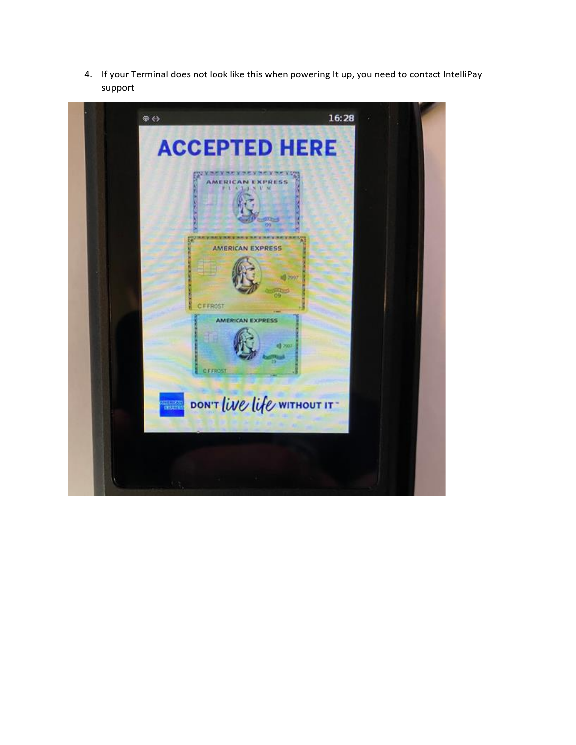

4. If your Terminal does not look like this when powering It up, you need to contact IntelliPay



Figure 4 - acceptance screen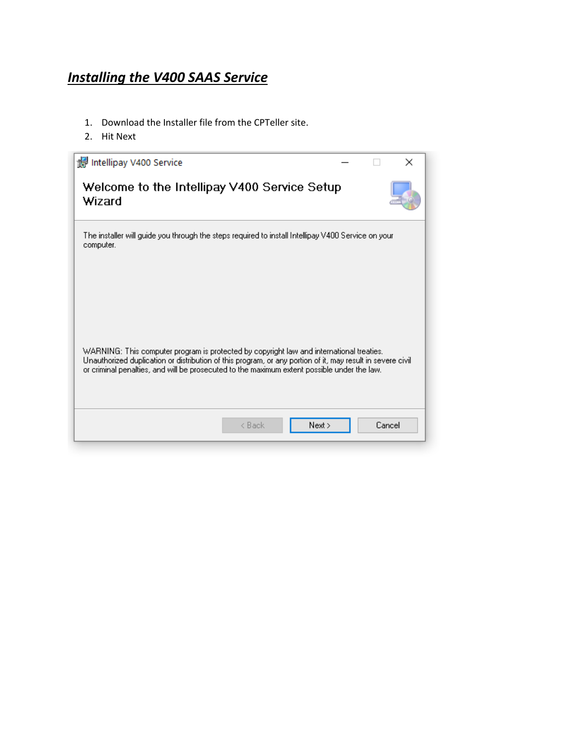## *Installing the V400 SAAS Service*

- 1. Download the Installer file from the CPTeller site.
- 2. Hit Next

| Intellipay V400 Service                                                                                                                                                                                                                                                                               |        |        | × |
|-------------------------------------------------------------------------------------------------------------------------------------------------------------------------------------------------------------------------------------------------------------------------------------------------------|--------|--------|---|
| Welcome to the Intellipay V400 Service Setup<br>Wizard                                                                                                                                                                                                                                                |        |        |   |
| The installer will guide you through the steps required to install Intellipay V400 Service on your<br>computer.                                                                                                                                                                                       |        |        |   |
| WARNING: This computer program is protected by copyright law and international treaties.<br>Unauthorized duplication or distribution of this program, or any portion of it, may result in severe civil<br>or criminal penalties, and will be prosecuted to the maximum extent possible under the law. |        |        |   |
| < Back                                                                                                                                                                                                                                                                                                | Next > | Cancel |   |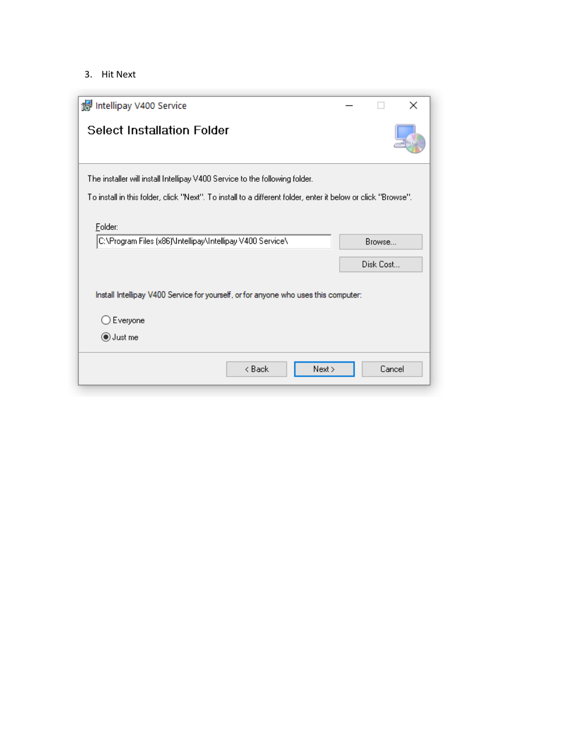3. Hit Next

| Intellipay V400 Service                                                                                      |           | ×      |
|--------------------------------------------------------------------------------------------------------------|-----------|--------|
| <b>Select Installation Folder</b>                                                                            |           |        |
| The installer will install Intellipay V400 Service to the following folder.                                  |           |        |
| To install in this folder, click "Next". To install to a different folder, enter it below or click "Browse". |           |        |
| Folder:<br>C:\Program Files (x86)\Intellipay\Intellipay V400 Service\                                        | Browse    |        |
|                                                                                                              | Disk Cost |        |
| Install Intellipay V400 Service for yourself, or for anyone who uses this computer:                          |           |        |
| $\supset$ Everyone                                                                                           |           |        |
| ◉ Just me                                                                                                    |           |        |
| < Back<br>Next >                                                                                             |           | Cancel |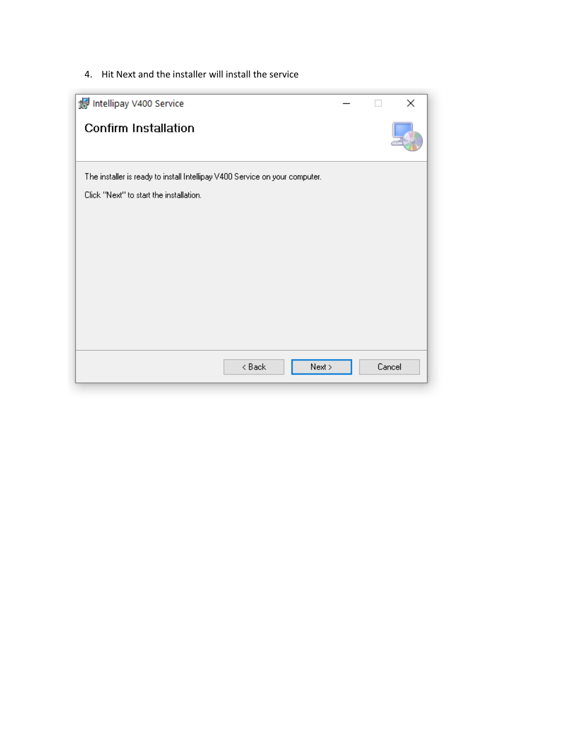4. Hit Next and the installer will install the service

|  | Cancel |
|--|--------|
|  |        |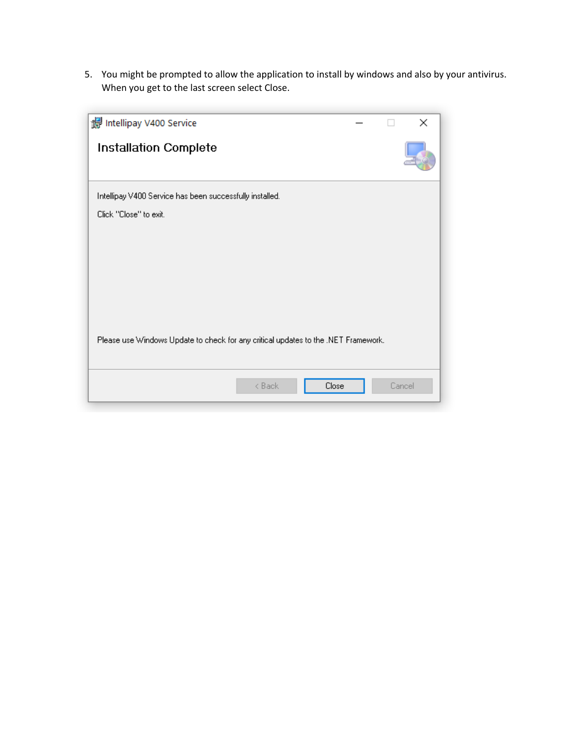5. You might be prompted to allow the application to install by windows and also by your antivirus. When you get to the last screen select Close.

| Intellipay V400 Service                                                            | ×      |
|------------------------------------------------------------------------------------|--------|
| <b>Installation Complete</b>                                                       |        |
| Intellipay V400 Service has been successfully installed.                           |        |
| Click "Close" to exit.                                                             |        |
|                                                                                    |        |
|                                                                                    |        |
|                                                                                    |        |
|                                                                                    |        |
|                                                                                    |        |
| Please use Windows Update to check for any critical updates to the .NET Framework. |        |
|                                                                                    |        |
| < Back<br>Close                                                                    | Cancel |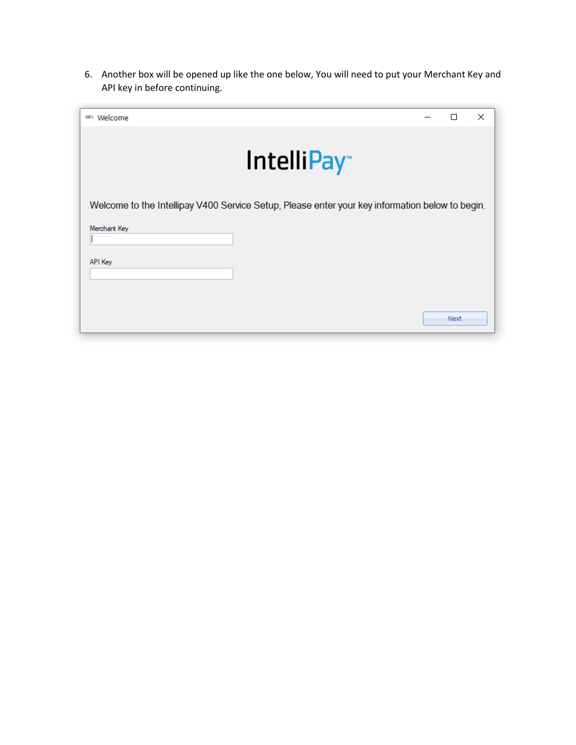6. Another box will be opened up like the one below, You will need to put your Merchant Key and API key in before continuing.

| <b>MANY</b> Welcome |                                                                                                 | П    | × |
|---------------------|-------------------------------------------------------------------------------------------------|------|---|
|                     | IntelliPay <sup>®</sup>                                                                         |      |   |
|                     | Welcome to the Intellipay V400 Service Setup, Please enter your key information below to begin. |      |   |
| Merchant Key        |                                                                                                 |      |   |
| <b>API Key</b>      |                                                                                                 |      |   |
|                     |                                                                                                 |      |   |
|                     |                                                                                                 | Next |   |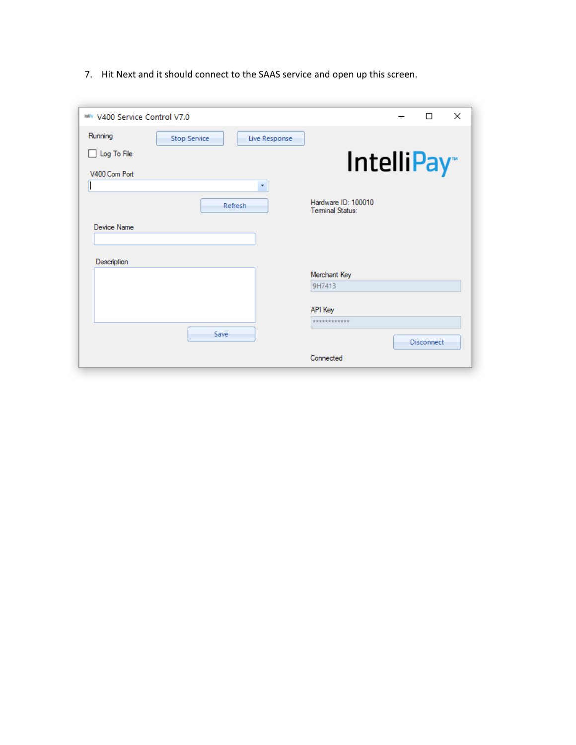IntelliPay V400 C Set Up



7. Hit Next and it should connect to the SAAS service and open up this screen.

| <b>Wir V400 Service Control V7.0</b> |                     |               |                                         | П                 | $\times$ |
|--------------------------------------|---------------------|---------------|-----------------------------------------|-------------------|----------|
| Running                              | <b>Stop Service</b> | Live Response |                                         |                   |          |
| $\Box$ Log To File                   |                     |               |                                         |                   |          |
| V400 Com Port                        |                     |               | IntelliPay <sup>®</sup>                 |                   |          |
|                                      |                     | $\bar{\tau}$  |                                         |                   |          |
|                                      |                     | Refresh       | Hardware ID: 100010<br>Terminal Status: |                   |          |
| Device Name                          |                     |               |                                         |                   |          |
| Description                          |                     |               |                                         |                   |          |
|                                      |                     |               | Merchant Key                            |                   |          |
|                                      |                     |               | 9H7413                                  |                   |          |
|                                      |                     |               | API Key                                 |                   |          |
|                                      |                     |               | ************                            |                   |          |
|                                      | Save                |               |                                         | <b>Disconnect</b> |          |
|                                      |                     |               | Connected                               |                   |          |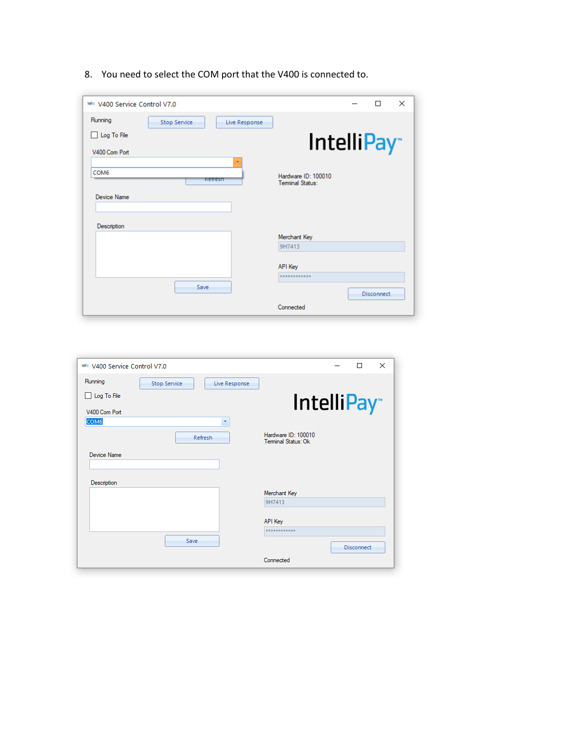8. You need to select the COM port that the V400 is connected to.

| V400 Service Control V7.0 |              |                          |                                         | П                 | $\times$ |
|---------------------------|--------------|--------------------------|-----------------------------------------|-------------------|----------|
| Running                   | Stop Service | Live Response            |                                         |                   |          |
| Log To File<br>H          |              |                          |                                         |                   |          |
| V400 Com Port             |              |                          | <b>IntelliPay</b>                       |                   |          |
|                           |              | $\overline{\mathcal{F}}$ |                                         |                   |          |
| COM <sub>6</sub>          |              | Refresh                  | Hardware ID: 100010<br>Terminal Status: |                   |          |
| <b>Device Name</b>        |              |                          |                                         |                   |          |
|                           |              |                          |                                         |                   |          |
| Description               |              |                          |                                         |                   |          |
|                           |              |                          | Merchant Key                            |                   |          |
|                           |              |                          | 9H7413                                  |                   |          |
|                           |              |                          | API Key                                 |                   |          |
|                           |              |                          | ************                            |                   |          |
|                           | Save         |                          |                                         | <b>Disconnect</b> |          |
|                           |              |                          | Connected                               |                   |          |

| <b>WWW V400 Service Control V7.0</b> |                                      | $\times$<br>п                               |
|--------------------------------------|--------------------------------------|---------------------------------------------|
| Running                              | <b>Stop Service</b><br>Live Response |                                             |
| Log To File<br>П                     |                                      | IntelliPay <sup>®</sup>                     |
| V400 Com Port                        |                                      |                                             |
| COM <sub>6</sub>                     | ۳                                    |                                             |
|                                      | Refresh                              | Hardware ID: 100010<br>Terminal Status: Ok. |
| Device Name                          |                                      |                                             |
|                                      |                                      |                                             |
| Description                          |                                      |                                             |
|                                      |                                      | Merchant Key                                |
|                                      |                                      | 9H7413                                      |
|                                      |                                      | API Key                                     |
|                                      |                                      | ************                                |
|                                      | Save                                 | <b>Disconnect</b>                           |
|                                      |                                      | Connected                                   |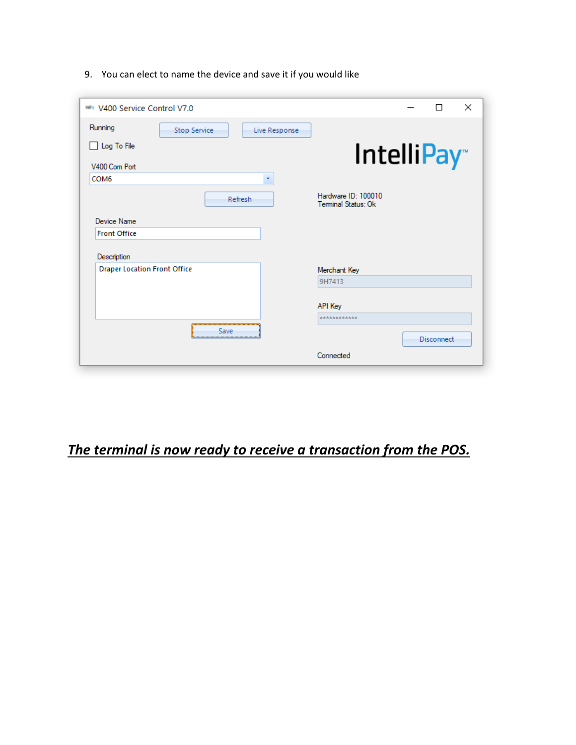9. You can elect to name the device and save it if you would like

| <b>WWW V400 Service Control V7.0</b> |                                                                                                                                 |               |                                            | П                 | $\times$ |
|--------------------------------------|---------------------------------------------------------------------------------------------------------------------------------|---------------|--------------------------------------------|-------------------|----------|
| Running                              | Stop Service                                                                                                                    | Live Response |                                            |                   |          |
| Log To File<br>V400 Com Port         |                                                                                                                                 |               | IntelliPay <sup>®</sup>                    |                   |          |
| COM <sub>6</sub>                     |                                                                                                                                 | ٠             |                                            |                   |          |
|                                      | Refresh                                                                                                                         |               | Hardware ID: 100010<br>Terminal Status: Ok |                   |          |
| Device Name                          |                                                                                                                                 |               |                                            |                   |          |
| <b>Front Office</b>                  |                                                                                                                                 |               |                                            |                   |          |
|                                      |                                                                                                                                 |               |                                            |                   |          |
| Description                          |                                                                                                                                 |               |                                            |                   |          |
| <b>Draper Location Front Office</b>  |                                                                                                                                 |               | Merchant Key                               |                   |          |
|                                      |                                                                                                                                 |               | 9H7413                                     |                   |          |
|                                      |                                                                                                                                 |               | API Key                                    |                   |          |
|                                      |                                                                                                                                 |               | ************                               |                   |          |
|                                      | Save<br><u> Anno 1999 - 1999 - 1999 - 1999 - 1999 - 1999 - 1999 - 1999 - 1999 - 1999 - 1999 - 1999 - 1999 - 1999 - 1999 - 1</u> |               |                                            | <b>Disconnect</b> |          |

*The terminal is now ready to receive a transaction from the POS.*